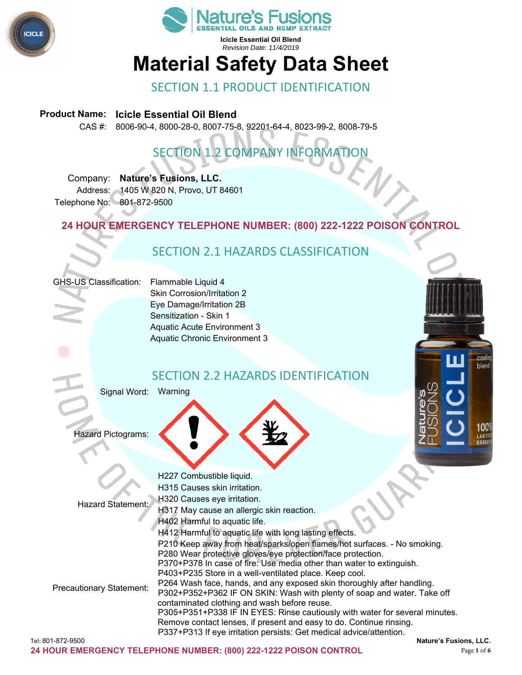



# **Material Safety Data Sheet**

SECTION 1.1 PRODUCT IDENTIFICATION

#### **Product Name: Icicle Essential Oil Blend**

CAS #: 8006-90-4, 8000-28-0, 8007-75-8, 92201-64-4, 8023-99-2, 8008-79-5

# SECTION 1.2 COMPANY INFORMATION

Company: **Nature's Fusions, LLC.**  Address: 1405 W 820 N, Provo, UT 84601 Telephone No: 801-872-9500

**24 HOUR EMERGENCY TELEPHONE NUMBER: (800) 222-1222 POISON CONTROL** 

# SECTION 2.1 HAZARDS CLASSIFICATION

#### GHS-US Classification: Flammable Liquid 4

Skin Corrosion/Irritation 2 Eye Damage/Irritation 2B Sensitization - Skin 1 Aquatic Acute Environment 3 Aquatic Chronic Environment 3

### SECTION 2.2 HAZARDS IDENTIFICATION

Signal Word: Warning

Hazard Pictograms:



cooli blend

> I OO' AB-T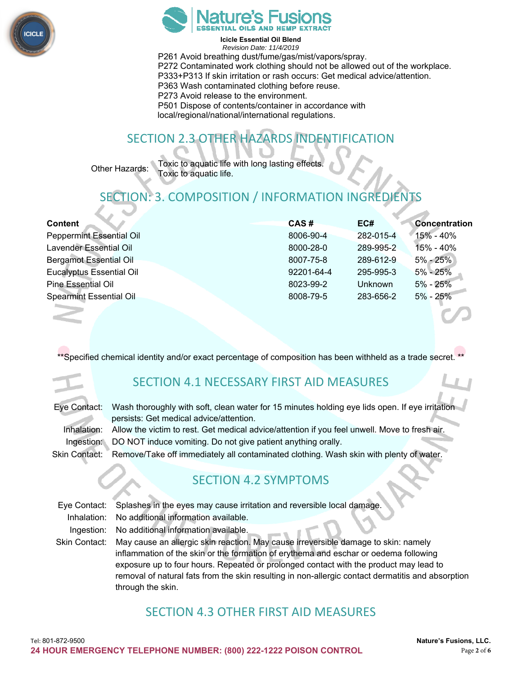



**Icicle Essential Oil Blend**  *Revision Date: 11/4/2019*  P261 Avoid breathing dust/fume/gas/mist/vapors/spray. P272 Contaminated work clothing should not be allowed out of the workplace. P333+P313 If skin irritation or rash occurs: Get medical advice/attention. P363 Wash contaminated clothing before reuse. P273 Avoid release to the environment. P501 Dispose of contents/container in accordance with local/regional/national/international regulations.

# SECTION 2.3 OTHER HAZARDS INDENTIFICATION

Other Hazards: Toxic to aquatic life with long lasting effects. Toxic to aquatic life.

# TION: 3. COMPOSITION / INFORMATION INGREDIE

| <b>Content</b>                  | CAS#       | EC#            | <b>Concentration</b> |
|---------------------------------|------------|----------------|----------------------|
| <b>Peppermint Essential Oil</b> | 8006-90-4  | 282-015-4      | $15\% - 40\%$        |
| Lavender Essential Oil          | 8000-28-0  | 289-995-2      | $15% - 40%$          |
| <b>Bergamot Essential Oil</b>   | 8007-75-8  | 289-612-9      | $5\% - 25\%$         |
| <b>Eucalyptus Essential Oil</b> | 92201-64-4 | 295-995-3      | $5\% - 25\%$         |
| <b>Pine Essential Oil</b>       | 8023-99-2  | <b>Unknown</b> | $5\% - 25\%$         |
| <b>Spearmint Essential Oil</b>  | 8008-79-5  | 283-656-2      | $5\% - 25\%$         |



 $\frac{1}{3}$ pecified chemical identity and/or exact percentage of composition has been withheld as a trade secret.

# SECTION 4.1 NECESSARY FIRST AID MEASURES

| Eye Contact: Wash thoroughly with soft, clean water for 15 minutes holding eye lids open. If eye irritation |
|-------------------------------------------------------------------------------------------------------------|
| persists: Get medical advice/attention.                                                                     |
| Inhalation: Allow the victim to rest. Get medical advice/attention if you feel unwell. Move to fresh air.   |
| Ingestion: DO NOT induce vomiting. Do not give patient anything orally.                                     |
| Skin Contact: Remove/Take off immediately all contaminated clothing. Wash skin with plenty of water.        |

## SECTION 4.2 SYMPTOMS

Eye Contact: Splashes in the eyes may cause irritation and reversible local damage. Inhalation: No additional information available. Ingestion: No additional information available. Skin Contact: May cause an allergic skin reaction. May cause irreversible damage to skin: namely inflammation of the skin or the formation of erythema and eschar or oedema following exposure up to four hours. Repeated or prolonged contact with the product may lead to

removal of natural fats from the skin resulting in non-allergic contact dermatitis and absorption through the skin.

## SECTION 4.3 OTHER FIRST AID MEASURES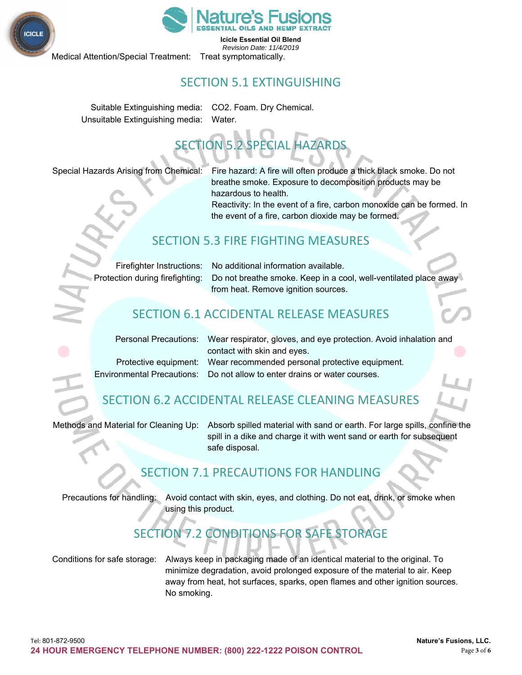



Medical Attention/Special Treatment: Treat symptomatically.

# SECTION 5.1 EXTINGUISHING

Suitable Extinguishing media: CO2. Foam. Dry Chemical. Unsuitable Extinguishing media: Water.

# SECTION 5.2 SPECIAL HAZARDS

Special Hazards Arising from Chemical: Fire hazard: A fire will often produce a thick black smoke. Do not breathe smoke. Exposure to decomposition products may be hazardous to health.

Reactivity: In the event of a fire, carbon monoxide can be formed. In the event of a fire, carbon dioxide may be formed.

### SECTION 5.3 FIRE FIGHTING MEASURES

| Firefighter Instructions:         |
|-----------------------------------|
| ▶ Protection during firefighting: |

No additional information available. Do not breathe smoke. Keep in a cool, well-ventilated place away from heat. Remove ignition sources.

## SECTION 6.1 ACCIDENTAL RELEASE MEASURES

| Personal Precautions: Wear respirator, gloves, and eye protection. Avoid inhalation and |  |
|-----------------------------------------------------------------------------------------|--|
| contact with skin and eyes.                                                             |  |
| Protective equipment: Wear recommended personal protective equipment.                   |  |
| Environmental Precautions: Do not allow to enter drains or water courses.               |  |

# SECTION 6.2 ACCIDENTAL RELEASE CLEANING MEASURES

Methods and Material for Cleaning Up: Absorb spilled material with sand or earth. For large spills, confine the spill in a dike and charge it with went sand or earth for subsequent safe disposal.

# SECTION 7.1 PRECAUTIONS FOR HANDLING

Precautions for handling: Avoid contact with skin, eyes, and clothing. Do not eat, drink, or smoke when using this product.

# SECTION 7.2 CONDITIONS FOR SAFE STORAGE

Conditions for safe storage: Always keep in packaging made of an identical material to the original. To minimize degradation, avoid prolonged exposure of the material to air. Keep away from heat, hot surfaces, sparks, open flames and other ignition sources. No smoking.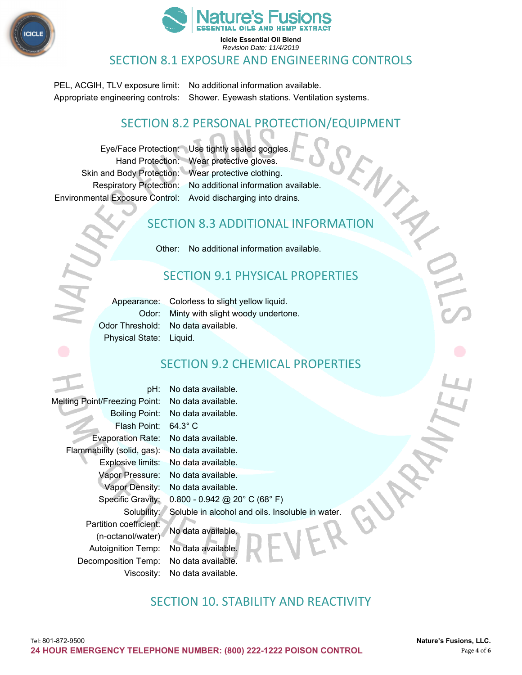



#### SECTION 8.1 EXPOSURE AND ENGINEERING CONTROLS

PEL, ACGIH, TLV exposure limit: No additional information available. Appropriate engineering controls: Shower. Eyewash stations. Ventilation systems.

### SECTION 8.2 PERSONAL PROTECTION/EQUIPMENT

Eye/Face Protection: Use tightly sealed goggles. Environmental Exposure Control: Avoid discharging into drains.

Hand Protection: Wear protective gloves. Skin and Body Protection: Wear protective clothing. Respiratory Protection: No additional information available.

## SECTION 8.3 ADDITIONAL INFORMATION

Other: No additional information available.

## SECTION 9.1 PHYSICAL PROPERTIES

Physical State: Liquid.

Appearance: Colorless to slight yellow liquid. Odor: Minty with slight woody undertone. Odor Threshold: No data available.

# SECTION 9.2 CHEMICAL PROPERTIES

pH: No data available. Melting Point/Freezing Point: No data available. Boiling Point: No data available. Flash Point: 64.3° C Evaporation Rate: No data available. Flammability (solid, gas): No data available. Explosive limits: No data available. Vapor Pressure: No data available. Vapor Density: No data available. Specific Gravity: 0.800 - 0.942 @ 20° C (68° F) Solubility: Soluble in alcohol and oils. Insoluble in water. Partition coefficient: No data available. (n-octanol/water) Autoignition Temp: No data available. Decomposition Temp: No data available. Viscosity: No data available.

## SECTION 10. STABILITY AND REACTIVITY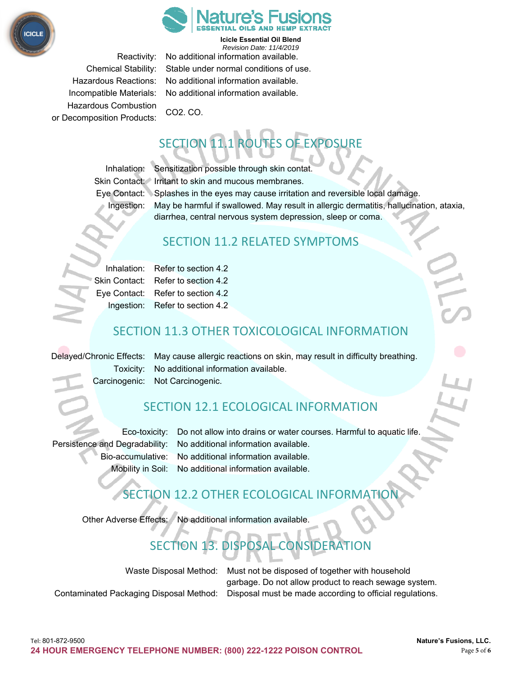



Hazardous Combustion CO2. CO. or Decomposition Products:

Reactivity: No additional information available. Chemical Stability: Stable under normal conditions of use. Hazardous Reactions: No additional information available. Incompatible Materials: No additional information available.

# TION 11.1 ROUTES OF EXPOSURE

Inhalation: Sensitization possible through skin contat. Skin Contact: Irritant to skin and mucous membranes. Eye Contact: Splashes in the eyes may cause irritation and reversible local damage. Ingestion: May be harmful if swallowed. May result in allergic dermatitis, hallucination, ataxia, diarrhea, central nervous system depression, sleep or coma.

## SECTION 11.2 RELATED SYMPTOMS

|  | Inhalation: Refer to section 4.2   |  |
|--|------------------------------------|--|
|  | Skin Contact: Refer to section 4.2 |  |
|  | Eye Contact: Refer to section 4.2  |  |
|  | Ingestion: Refer to section 4.2    |  |

# SECTION 11.3 OTHER TOXICOLOGICAL INFORMATION

Delayed/Chronic Effects: May cause allergic reactions on skin, may result in difficulty breathing. Toxicity: No additional information available. Carcinogenic: Not Carcinogenic.

## SECTION 12.1 ECOLOGICAL INFORMATION

Eco-toxicity: Do not allow into drains or water courses. Harmful to aquatic life. Persistence and Degradability: No additional information available. Bio-accumulative: No additional information available. Mobility in Soil: No additional information available.

# SECTION 12.2 OTHER ECOLOGICAL INFORMATI

Other Adverse Effects: No additional information available.

# SECTION 13. DISPOSAL CONSIDERATION

Waste Disposal Method: Must not be disposed of together with household garbage. Do not allow product to reach sewage system. Contaminated Packaging Disposal Method: Disposal must be made according to official regulations.

Tel: 801-872-9500 **Nature's Fusions, LLC. 24 HOUR EMERGENCY TELEPHONE NUMBER: (800) 222-1222 POISON CONTROL** Page **5** of **6**